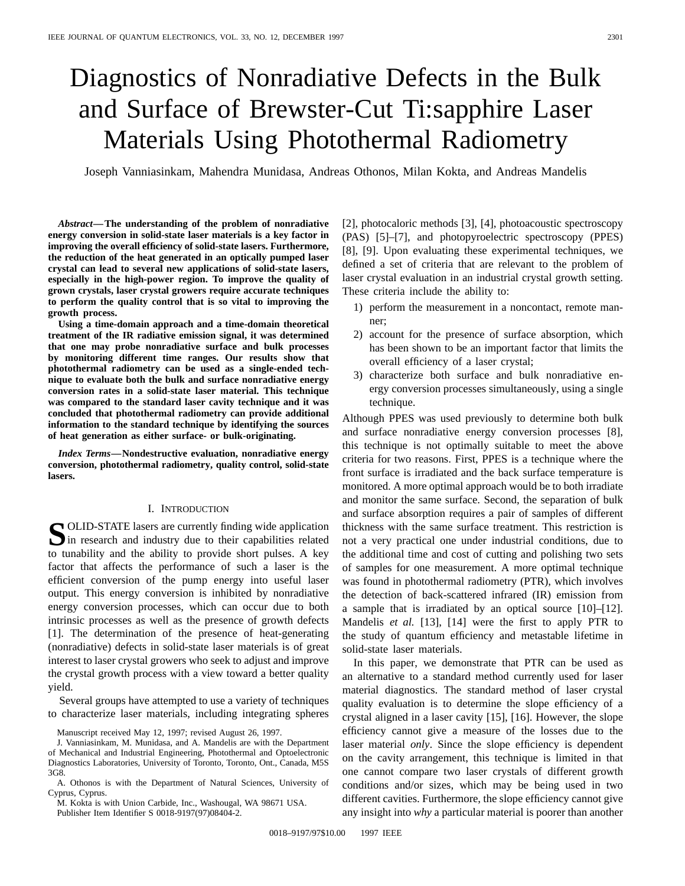# Diagnostics of Nonradiative Defects in the Bulk and Surface of Brewster-Cut Ti:sapphire Laser Materials Using Photothermal Radiometry

Joseph Vanniasinkam, Mahendra Munidasa, Andreas Othonos, Milan Kokta, and Andreas Mandelis

*Abstract—***The understanding of the problem of nonradiative energy conversion in solid-state laser materials is a key factor in improving the overall efficiency of solid-state lasers. Furthermore, the reduction of the heat generated in an optically pumped laser crystal can lead to several new applications of solid-state lasers, especially in the high-power region. To improve the quality of grown crystals, laser crystal growers require accurate techniques to perform the quality control that is so vital to improving the growth process.**

**Using a time-domain approach and a time-domain theoretical treatment of the IR radiative emission signal, it was determined that one may probe nonradiative surface and bulk processes by monitoring different time ranges. Our results show that photothermal radiometry can be used as a single-ended technique to evaluate both the bulk and surface nonradiative energy conversion rates in a solid-state laser material. This technique was compared to the standard laser cavity technique and it was concluded that photothermal radiometry can provide additional information to the standard technique by identifying the sources of heat generation as either surface- or bulk-originating.**

*Index Terms—***Nondestructive evaluation, nonradiative energy conversion, photothermal radiometry, quality control, solid-state lasers.**

## I. INTRODUCTION

**S**OLID-STATE lasers are currently finding wide application In research and industry due to their capabilities related to tunability and the ability to provide short pulses. A key factor that affects the performance of such a laser is the efficient conversion of the pump energy into useful laser output. This energy conversion is inhibited by nonradiative energy conversion processes, which can occur due to both intrinsic processes as well as the presence of growth defects [1]. The determination of the presence of heat-generating (nonradiative) defects in solid-state laser materials is of great interest to laser crystal growers who seek to adjust and improve the crystal growth process with a view toward a better quality yield.

Several groups have attempted to use a variety of techniques to characterize laser materials, including integrating spheres

Manuscript received May 12, 1997; revised August 26, 1997.

M. Kokta is with Union Carbide, Inc., Washougal, WA 98671 USA. Publisher Item Identifier S 0018-9197(97)08404-2.

[2], photocaloric methods [3], [4], photoacoustic spectroscopy (PAS) [5]–[7], and photopyroelectric spectroscopy (PPES) [8], [9]. Upon evaluating these experimental techniques, we defined a set of criteria that are relevant to the problem of laser crystal evaluation in an industrial crystal growth setting. These criteria include the ability to:

- 1) perform the measurement in a noncontact, remote manner;
- 2) account for the presence of surface absorption, which has been shown to be an important factor that limits the overall efficiency of a laser crystal;
- 3) characterize both surface and bulk nonradiative energy conversion processes simultaneously, using a single technique.

Although PPES was used previously to determine both bulk and surface nonradiative energy conversion processes [8], this technique is not optimally suitable to meet the above criteria for two reasons. First, PPES is a technique where the front surface is irradiated and the back surface temperature is monitored. A more optimal approach would be to both irradiate and monitor the same surface. Second, the separation of bulk and surface absorption requires a pair of samples of different thickness with the same surface treatment. This restriction is not a very practical one under industrial conditions, due to the additional time and cost of cutting and polishing two sets of samples for one measurement. A more optimal technique was found in photothermal radiometry (PTR), which involves the detection of back-scattered infrared (IR) emission from a sample that is irradiated by an optical source [10]–[12]. Mandelis *et al.* [13], [14] were the first to apply PTR to the study of quantum efficiency and metastable lifetime in solid-state laser materials.

In this paper, we demonstrate that PTR can be used as an alternative to a standard method currently used for laser material diagnostics. The standard method of laser crystal quality evaluation is to determine the slope efficiency of a crystal aligned in a laser cavity [15], [16]. However, the slope efficiency cannot give a measure of the losses due to the laser material *only*. Since the slope efficiency is dependent on the cavity arrangement, this technique is limited in that one cannot compare two laser crystals of different growth conditions and/or sizes, which may be being used in two different cavities. Furthermore, the slope efficiency cannot give any insight into *why* a particular material is poorer than another

J. Vanniasinkam, M. Munidasa, and A. Mandelis are with the Department of Mechanical and Industrial Engineering, Photothermal and Optoelectronic Diagnostics Laboratories, University of Toronto, Toronto, Ont., Canada, M5S 3G8.

A. Othonos is with the Department of Natural Sciences, University of Cyprus, Cyprus.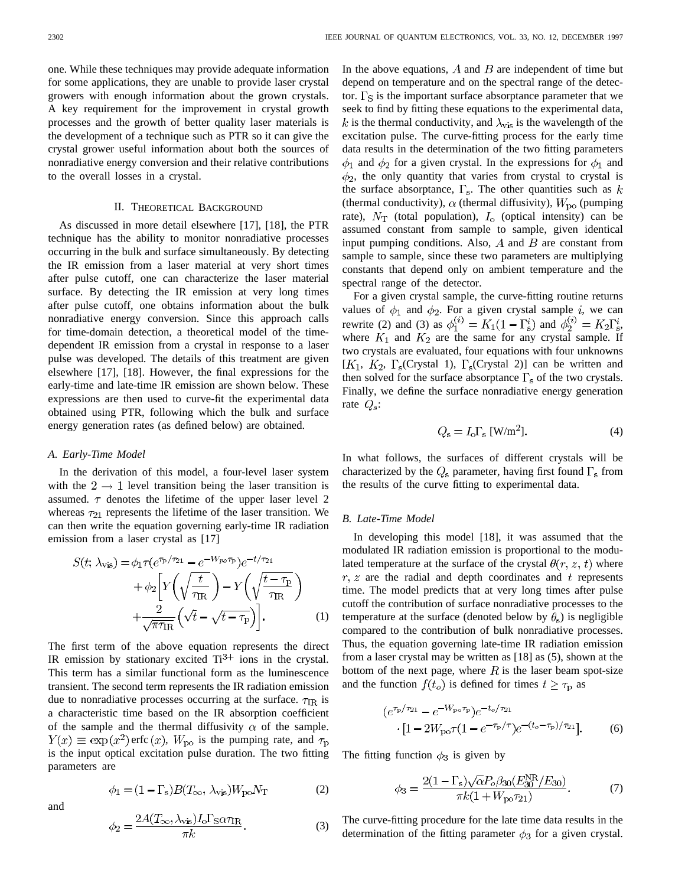one. While these techniques may provide adequate information for some applications, they are unable to provide laser crystal growers with enough information about the grown crystals. A key requirement for the improvement in crystal growth processes and the growth of better quality laser materials is the development of a technique such as PTR so it can give the crystal grower useful information about both the sources of nonradiative energy conversion and their relative contributions to the overall losses in a crystal.

# II. THEORETICAL BACKGROUND

As discussed in more detail elsewhere [17], [18], the PTR technique has the ability to monitor nonradiative processes occurring in the bulk and surface simultaneously. By detecting the IR emission from a laser material at very short times after pulse cutoff, one can characterize the laser material surface. By detecting the IR emission at very long times after pulse cutoff, one obtains information about the bulk nonradiative energy conversion. Since this approach calls for time-domain detection, a theoretical model of the timedependent IR emission from a crystal in response to a laser pulse was developed. The details of this treatment are given elsewhere [17], [18]. However, the final expressions for the early-time and late-time IR emission are shown below. These expressions are then used to curve-fit the experimental data obtained using PTR, following which the bulk and surface energy generation rates (as defined below) are obtained.

## *A. Early-Time Model*

and

In the derivation of this model, a four-level laser system with the  $2 \rightarrow 1$  level transition being the laser transition is assumed.  $\tau$  denotes the lifetime of the upper laser level 2 whereas  $\tau_{21}$  represents the lifetime of the laser transition. We can then write the equation governing early-time IR radiation emission from a laser crystal as [17]

$$
S(t; \lambda_{\text{vis}}) = \phi_1 \tau (e^{\tau_{\text{p}}/\tau_{21}} - e^{-W_{\text{po}}\tau_{\text{p}}}) e^{-t/\tau_{21}} + \phi_2 \left[ Y \left( \sqrt{\frac{t}{\tau_{\text{IR}}}} \right) - Y \left( \sqrt{\frac{t - \tau_{\text{p}}}{\tau_{\text{IR}}}} \right) + \frac{2}{\sqrt{\pi \tau_{\text{IR}}}} \left( \sqrt{t} - \sqrt{t - \tau_{\text{p}}} \right) \right].
$$
 (1)

The first term of the above equation represents the direct IR emission by stationary excited  $Ti^{3+}$  ions in the crystal. This term has a similar functional form as the luminescence transient. The second term represents the IR radiation emission due to nonradiative processes occurring at the surface.  $\tau_{IR}$  is a characteristic time based on the IR absorption coefficient of the sample and the thermal diffusivity  $\alpha$  of the sample.  $Y(x) \equiv \exp(x^2)$  erfc  $(x)$ ,  $W_{\text{po}}$  is the pumping rate, and  $\tau_{\text{p}}$ is the input optical excitation pulse duration. The two fitting parameters are

$$
\phi_1 = (1 - \Gamma_s) B(T_{\infty}, \lambda_{\text{vis}}) W_{\text{po}} N_{\text{T}}
$$
 (2)

$$
\phi_2 = \frac{2A(T_{\infty}, \lambda_{\text{vis}})I_o \Gamma_S \alpha \tau_{\text{IR}}}{\pi k}.
$$
\n(3)

In the above equations,  $A$  and  $B$  are independent of time but depend on temperature and on the spectral range of the detector.  $\Gamma_{\rm S}$  is the important surface absorptance parameter that we seek to find by fitting these equations to the experimental data, k is the thermal conductivity, and  $\lambda_{vis}$  is the wavelength of the excitation pulse. The curve-fitting process for the early time data results in the determination of the two fitting parameters  $\phi_1$  and  $\phi_2$  for a given crystal. In the expressions for  $\phi_1$  and  $\phi_2$ , the only quantity that varies from crystal to crystal is the surface absorptance,  $\Gamma_{\rm s}$ . The other quantities such as k (thermal conductivity),  $\alpha$  (thermal diffusivity),  $W_{\text{po}}$  (pumping rate),  $N_T$  (total population),  $I_o$  (optical intensity) can be assumed constant from sample to sample, given identical input pumping conditions. Also,  $A$  and  $B$  are constant from sample to sample, since these two parameters are multiplying constants that depend only on ambient temperature and the spectral range of the detector.

For a given crystal sample, the curve-fitting routine returns values of  $\phi_1$  and  $\phi_2$ . For a given crystal sample *i*, we can rewrite (2) and (3) as  $\phi_1^{(i)} = K_1(1 - \Gamma_s^i)$  and  $\phi_2^{(i)} = K_2 \Gamma_s^i$ , where  $K_1$  and  $K_2$  are the same for any crystal sample. If two crystals are evaluated, four equations with four unknowns  $[K_1, K_2, \Gamma_s(Crystal 1), \Gamma_s(Crystal 2)]$  can be written and then solved for the surface absorptance  $\Gamma_{\rm s}$  of the two crystals. Finally, we define the surface nonradiative energy generation rate  $Q_s$ :

$$
Q_{\rm s} = I_{\rm o} \Gamma_{\rm s} \,[\text{W/m}^2].\tag{4}
$$

In what follows, the surfaces of different crystals will be characterized by the  $Q_s$  parameter, having first found  $\Gamma_s$  from the results of the curve fitting to experimental data.

#### *B. Late-Time Model*

In developing this model [18], it was assumed that the modulated IR radiation emission is proportional to the modulated temperature at the surface of the crystal  $\theta(r, z, t)$  where  $r, z$  are the radial and depth coordinates and t represents time. The model predicts that at very long times after pulse cutoff the contribution of surface nonradiative processes to the temperature at the surface (denoted below by  $\theta_s$ ) is negligible compared to the contribution of bulk nonradiative processes. Thus, the equation governing late-time IR radiation emission from a laser crystal may be written as [18] as (5), shown at the bottom of the next page, where  $R$  is the laser beam spot-size and the function  $f(t_o)$  is defined for times  $t \geq \tau_p$  as

$$
(e^{\tau_{\rm p}/\tau_{21}} - e^{-W_{\rm po}\tau_{\rm p}})e^{-t_o/\tau_{21}} \cdot [1 - 2W_{\rm po}\tau (1 - e^{-\tau_{\rm p}/\tau})e^{-(t_o - \tau_{\rm p})/\tau_{21}}].
$$
 (6)

The fitting function  $\phi_3$  is given by

$$
\phi_3 = \frac{2(1 - \Gamma_s)\sqrt{\alpha}P_o\beta_{30}(E_{30}^{\text{NR}}/E_{30})}{\pi k(1 + W_{\text{po}}\tau_{21})}.
$$
 (7)

The curve-fitting procedure for the late time data results in the determination of the fitting parameter  $\phi_3$  for a given crystal.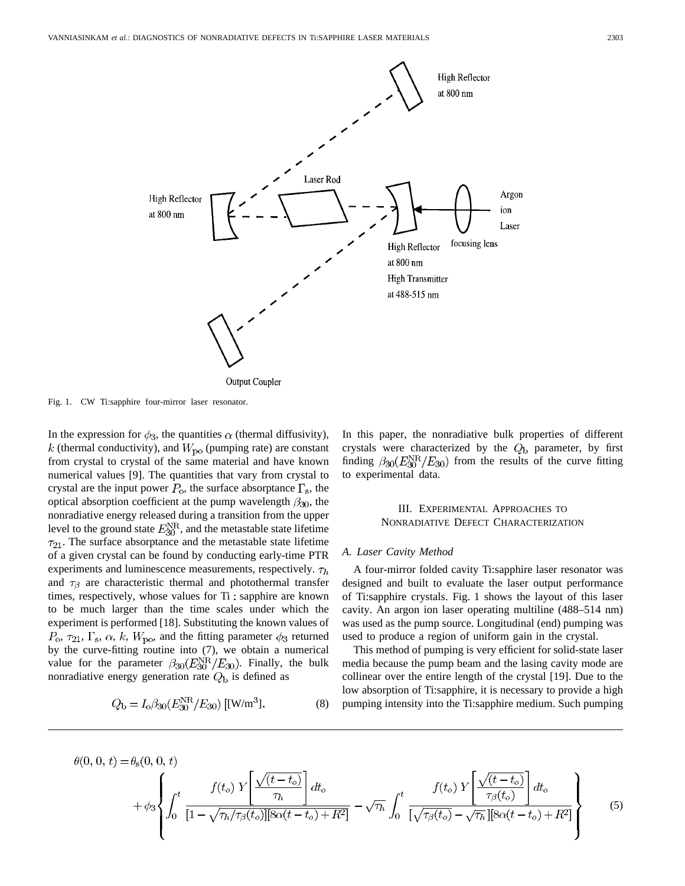

Fig. 1. CW Ti:sapphire four-mirror laser resonator.

In the expression for  $\phi_3$ , the quantities  $\alpha$  (thermal diffusivity),  $k$  (thermal conductivity), and  $W_{\text{po}}$  (pumping rate) are constant from crystal to crystal of the same material and have known numerical values [9]. The quantities that vary from crystal to crystal are the input power  $P_{\rm o}$ , the surface absorptance  $\Gamma_{\rm s}$ , the optical absorption coefficient at the pump wavelength  $\beta_{30}$ , the nonradiative energy released during a transition from the upper level to the ground state  $E_{30}^{NR}$ , and the metastable state lifetime  $\tau_{21}$ . The surface absorptance and the metastable state lifetime of a given crystal can be found by conducting early-time PTR experiments and luminescence measurements, respectively.  $\tau_h$ and  $\tau_{\beta}$  are characteristic thermal and photothermal transfer times, respectively, whose values for Ti: sapphire are known to be much larger than the time scales under which the experiment is performed [18]. Substituting the known values of  $P_{\rm o}$ ,  $\tau_{21}$ ,  $\Gamma_{\rm s}$ ,  $\alpha$ ,  $k$ ,  $W_{\rm po}$ , and the fitting parameter  $\phi_3$  returned by the curve-fitting routine into (7), we obtain a numerical value for the parameter  $\beta_{30}(E_{30}^{\text{NR}}/E_{30})$ . Finally, the bulk nonradiative energy generation rate  $Q<sub>b</sub>$  is defined as

$$
Q_{\rm b} = I_0 \beta_{30} (E_{30}^{\rm NR}/E_{30}) \,\text{[W/m}^3\text{]}.
$$
 (8)

In this paper, the nonradiative bulk properties of different crystals were characterized by the  $Q<sub>b</sub>$  parameter, by first finding  $\beta_{30}(E_{30}^{\text{NR}}/E_{30})$  from the results of the curve fitting to experimental data.

# III. EXPERIMENTAL APPROACHES TO NONRADIATIVE DEFECT CHARACTERIZATION

## *A. Laser Cavity Method*

A four-mirror folded cavity Ti:sapphire laser resonator was designed and built to evaluate the laser output performance of Ti:sapphire crystals. Fig. 1 shows the layout of this laser cavity. An argon ion laser operating multiline (488–514 nm) was used as the pump source. Longitudinal (end) pumping was used to produce a region of uniform gain in the crystal.

This method of pumping is very efficient for solid-state laser media because the pump beam and the lasing cavity mode are collinear over the entire length of the crystal [19]. Due to the low absorption of Ti:sapphire, it is necessary to provide a high pumping intensity into the Ti:sapphire medium. Such pumping

$$
\theta(0,0,t) = \theta_{\rm s}(0,0,t)
$$
\n
$$
+ \phi_3 \left\{ \int_0^t \frac{f(t_o) Y \left[ \frac{\sqrt{(t-t_o)}}{\tau_h} \right] dt_o}{\left[1 - \sqrt{\tau_h/\tau_\beta(t_o)} \right] \left[8\alpha(t-t_o) + R^2\right]} - \sqrt{\tau_h} \int_0^t \frac{f(t_o) Y \left[ \frac{\sqrt{(t-t_o)}}{\tau_\beta(t_o)} \right] dt_o}{\left[\sqrt{\tau_\beta(t_o)} - \sqrt{\tau_h} \right] \left[8\alpha(t-t_o) + R^2\right]} \right\} \tag{5}
$$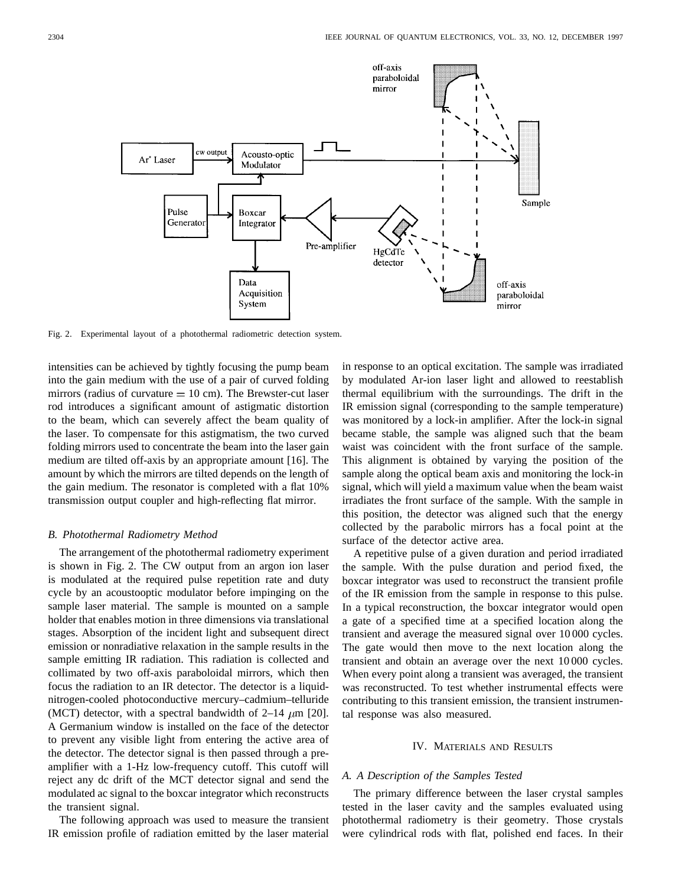

Fig. 2. Experimental layout of a photothermal radiometric detection system.

intensities can be achieved by tightly focusing the pump beam into the gain medium with the use of a pair of curved folding mirrors (radius of curvature  $= 10$  cm). The Brewster-cut laser rod introduces a significant amount of astigmatic distortion to the beam, which can severely affect the beam quality of the laser. To compensate for this astigmatism, the two curved folding mirrors used to concentrate the beam into the laser gain medium are tilted off-axis by an appropriate amount [16]. The amount by which the mirrors are tilted depends on the length of the gain medium. The resonator is completed with a flat 10% transmission output coupler and high-reflecting flat mirror.

## *B. Photothermal Radiometry Method*

The arrangement of the photothermal radiometry experiment is shown in Fig. 2. The CW output from an argon ion laser is modulated at the required pulse repetition rate and duty cycle by an acoustooptic modulator before impinging on the sample laser material. The sample is mounted on a sample holder that enables motion in three dimensions via translational stages. Absorption of the incident light and subsequent direct emission or nonradiative relaxation in the sample results in the sample emitting IR radiation. This radiation is collected and collimated by two off-axis paraboloidal mirrors, which then focus the radiation to an IR detector. The detector is a liquidnitrogen-cooled photoconductive mercury–cadmium–telluride (MCT) detector, with a spectral bandwidth of 2–14  $\mu$ m [20]. A Germanium window is installed on the face of the detector to prevent any visible light from entering the active area of the detector. The detector signal is then passed through a preamplifier with a 1-Hz low-frequency cutoff. This cutoff will reject any dc drift of the MCT detector signal and send the modulated ac signal to the boxcar integrator which reconstructs the transient signal.

The following approach was used to measure the transient IR emission profile of radiation emitted by the laser material in response to an optical excitation. The sample was irradiated by modulated Ar-ion laser light and allowed to reestablish thermal equilibrium with the surroundings. The drift in the IR emission signal (corresponding to the sample temperature) was monitored by a lock-in amplifier. After the lock-in signal became stable, the sample was aligned such that the beam waist was coincident with the front surface of the sample. This alignment is obtained by varying the position of the sample along the optical beam axis and monitoring the lock-in signal, which will yield a maximum value when the beam waist irradiates the front surface of the sample. With the sample in this position, the detector was aligned such that the energy collected by the parabolic mirrors has a focal point at the surface of the detector active area.

A repetitive pulse of a given duration and period irradiated the sample. With the pulse duration and period fixed, the boxcar integrator was used to reconstruct the transient profile of the IR emission from the sample in response to this pulse. In a typical reconstruction, the boxcar integrator would open a gate of a specified time at a specified location along the transient and average the measured signal over 10 000 cycles. The gate would then move to the next location along the transient and obtain an average over the next 10 000 cycles. When every point along a transient was averaged, the transient was reconstructed. To test whether instrumental effects were contributing to this transient emission, the transient instrumental response was also measured.

#### IV. MATERIALS AND RESULTS

### *A. A Description of the Samples Tested*

The primary difference between the laser crystal samples tested in the laser cavity and the samples evaluated using photothermal radiometry is their geometry. Those crystals were cylindrical rods with flat, polished end faces. In their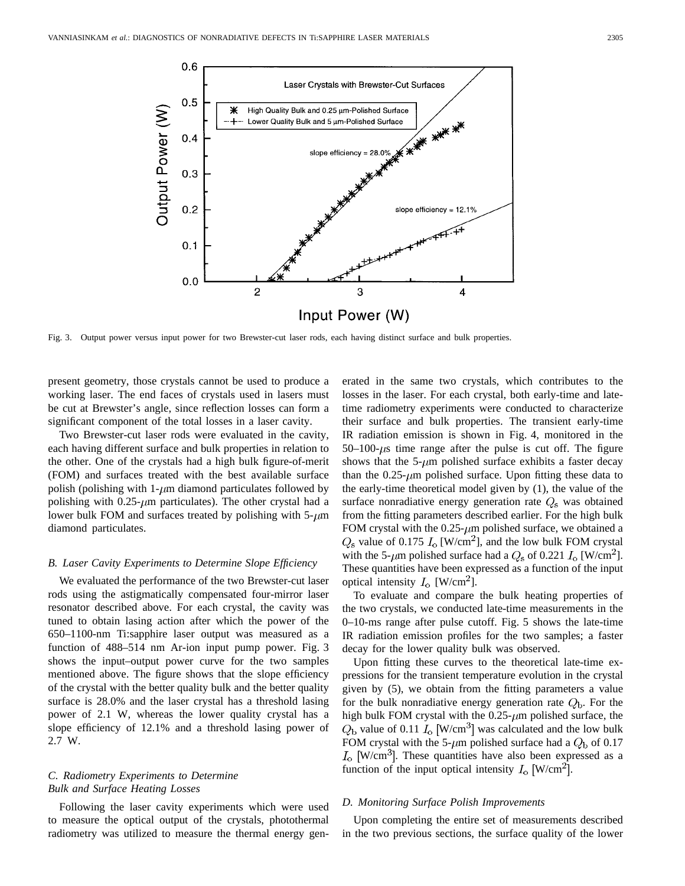

Fig. 3. Output power versus input power for two Brewster-cut laser rods, each having distinct surface and bulk properties.

present geometry, those crystals cannot be used to produce a working laser. The end faces of crystals used in lasers must be cut at Brewster's angle, since reflection losses can form a significant component of the total losses in a laser cavity.

Two Brewster-cut laser rods were evaluated in the cavity, each having different surface and bulk properties in relation to the other. One of the crystals had a high bulk figure-of-merit (FOM) and surfaces treated with the best available surface polish (polishing with  $1-\mu m$  diamond particulates followed by polishing with  $0.25-\mu m$  particulates). The other crystal had a lower bulk FOM and surfaces treated by polishing with  $5-\mu m$ diamond particulates.

#### *B. Laser Cavity Experiments to Determine Slope Efficiency*

We evaluated the performance of the two Brewster-cut laser rods using the astigmatically compensated four-mirror laser resonator described above. For each crystal, the cavity was tuned to obtain lasing action after which the power of the 650–1100-nm Ti:sapphire laser output was measured as a function of 488–514 nm Ar-ion input pump power. Fig. 3 shows the input–output power curve for the two samples mentioned above. The figure shows that the slope efficiency of the crystal with the better quality bulk and the better quality surface is 28.0% and the laser crystal has a threshold lasing power of 2.1 W, whereas the lower quality crystal has a slope efficiency of 12.1% and a threshold lasing power of 2.7 W.

# *C. Radiometry Experiments to Determine Bulk and Surface Heating Losses*

Following the laser cavity experiments which were used to measure the optical output of the crystals, photothermal radiometry was utilized to measure the thermal energy generated in the same two crystals, which contributes to the losses in the laser. For each crystal, both early-time and latetime radiometry experiments were conducted to characterize their surface and bulk properties. The transient early-time IR radiation emission is shown in Fig. 4, monitored in the  $50-100$ - $\mu$ s time range after the pulse is cut off. The figure shows that the  $5-\mu m$  polished surface exhibits a faster decay than the  $0.25$ - $\mu$ m polished surface. Upon fitting these data to the early-time theoretical model given by (1), the value of the surface nonradiative energy generation rate  $Q<sub>s</sub>$  was obtained from the fitting parameters described earlier. For the high bulk FOM crystal with the  $0.25 - \mu m$  polished surface, we obtained a  $Q_s$  value of 0.175  $I_o$  [W/cm<sup>2</sup>], and the low bulk FOM crystal with the 5- $\mu$ m polished surface had a  $Q_s$  of 0.221  $I_o$  [W/cm<sup>2</sup>]. These quantities have been expressed as a function of the input optical intensity  $I_0$  [W/cm<sup>2</sup>].

To evaluate and compare the bulk heating properties of the two crystals, we conducted late-time measurements in the 0–10-ms range after pulse cutoff. Fig. 5 shows the late-time IR radiation emission profiles for the two samples; a faster decay for the lower quality bulk was observed.

Upon fitting these curves to the theoretical late-time expressions for the transient temperature evolution in the crystal given by (5), we obtain from the fitting parameters a value for the bulk nonradiative energy generation rate  $Q<sub>b</sub>$ . For the high bulk FOM crystal with the  $0.25-\mu m$  polished surface, the  $Q_{\rm b}$  value of 0.11  $I_{\rm o}$  [W/cm<sup>3</sup>] was calculated and the low bulk FOM crystal with the 5- $\mu$ m polished surface had a  $Q_{\rm b}$  of 0.17  $I_0$  [W/cm<sup>3</sup>]. These quantities have also been expressed as a function of the input optical intensity  $I_0$  [W/cm<sup>2</sup>].

### *D. Monitoring Surface Polish Improvements*

Upon completing the entire set of measurements described in the two previous sections, the surface quality of the lower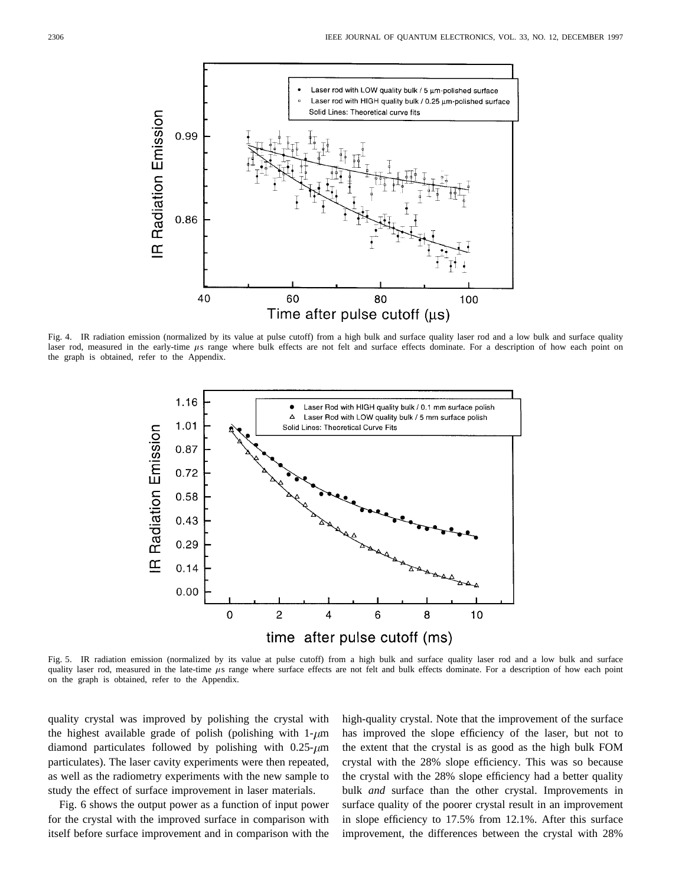

Fig. 4. IR radiation emission (normalized by its value at pulse cutoff) from a high bulk and surface quality laser rod and a low bulk and surface quality laser rod, measured in the early-time  $\mu$ s range where bulk effects are not felt and surface effects dominate. For a description of how each point on the graph is obtained, refer to the Appendix.



Fig. 5. IR radiation emission (normalized by its value at pulse cutoff) from a high bulk and surface quality laser rod and a low bulk and surface quality laser rod, measured in the late-time  $\mu$ s range where surface effects are not felt and bulk effects dominate. For a description of how each point on the graph is obtained, refer to the Appendix.

quality crystal was improved by polishing the crystal with the highest available grade of polish (polishing with  $1-\mu m$ diamond particulates followed by polishing with  $0.25$ - $\mu$ m particulates). The laser cavity experiments were then repeated, as well as the radiometry experiments with the new sample to study the effect of surface improvement in laser materials.

Fig. 6 shows the output power as a function of input power for the crystal with the improved surface in comparison with itself before surface improvement and in comparison with the high-quality crystal. Note that the improvement of the surface has improved the slope efficiency of the laser, but not to the extent that the crystal is as good as the high bulk FOM crystal with the 28% slope efficiency. This was so because the crystal with the 28% slope efficiency had a better quality bulk *and* surface than the other crystal. Improvements in surface quality of the poorer crystal result in an improvement in slope efficiency to 17.5% from 12.1%. After this surface improvement, the differences between the crystal with 28%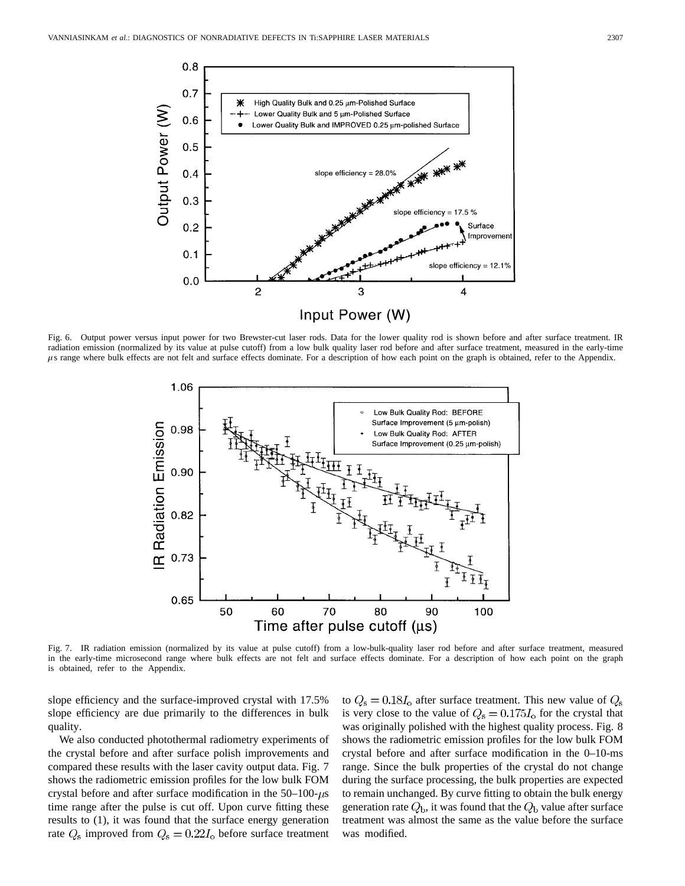

Fig. 6. Output power versus input power for two Brewster-cut laser rods. Data for the lower quality rod is shown before and after surface treatment. IR radiation emission (normalized by its value at pulse cutoff) from a low bulk quality laser rod before and after surface treatment, measured in the early-time s range where bulk effects are not felt and surface effects dominate. For a description of how each point on the graph is obtained, refer to the Appendix.



Fig. 7. IR radiation emission (normalized by its value at pulse cutoff) from a low-bulk-quality laser rod before and after surface treatment, measured in the early-time microsecond range where bulk effects are not felt and surface effects dominate. For a description of how each point on the graph is obtained, refer to the Appendix.

slope efficiency and the surface-improved crystal with 17.5% slope efficiency are due primarily to the differences in bulk quality.

We also conducted photothermal radiometry experiments of the crystal before and after surface polish improvements and compared these results with the laser cavity output data. Fig. 7 shows the radiometric emission profiles for the low bulk FOM crystal before and after surface modification in the  $50-100-\mu s$ time range after the pulse is cut off. Upon curve fitting these results to (1), it was found that the surface energy generation rate  $Q_s$  improved from  $Q_s = 0.22I_o$  before surface treatment

to  $Q_s = 0.18I_o$  after surface treatment. This new value of  $Q_s$ is very close to the value of  $Q_s = 0.175I_0$  for the crystal that was originally polished with the highest quality process. Fig. 8 shows the radiometric emission profiles for the low bulk FOM crystal before and after surface modification in the 0–10-ms range. Since the bulk properties of the crystal do not change during the surface processing, the bulk properties are expected to remain unchanged. By curve fitting to obtain the bulk energy generation rate  $Q_{\rm b}$ , it was found that the  $Q_{\rm b}$  value after surface treatment was almost the same as the value before the surface was modified.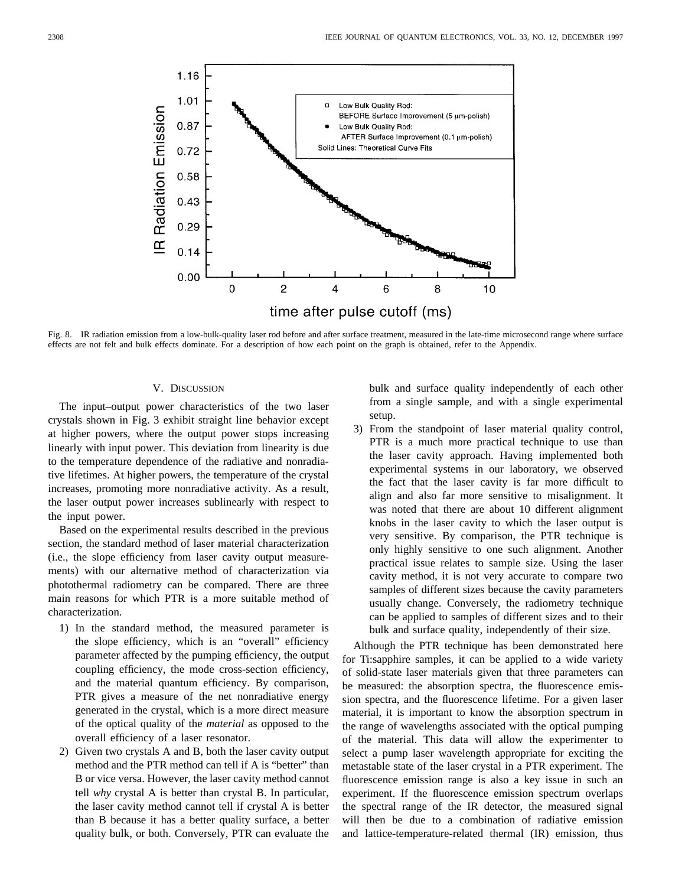

Fig. 8. IR radiation emission from a low-bulk-quality laser rod before and after surface treatment, measured in the late-time microsecond range where surface effects are not felt and bulk effects dominate. For a description of how each point on the graph is obtained, refer to the Appendix.

# V. DISCUSSION

The input–output power characteristics of the two laser crystals shown in Fig. 3 exhibit straight line behavior except at higher powers, where the output power stops increasing linearly with input power. This deviation from linearity is due to the temperature dependence of the radiative and nonradiative lifetimes. At higher powers, the temperature of the crystal increases, promoting more nonradiative activity. As a result, the laser output power increases sublinearly with respect to the input power.

Based on the experimental results described in the previous section, the standard method of laser material characterization (i.e., the slope efficiency from laser cavity output measurements) with our alternative method of characterization via photothermal radiometry can be compared. There are three main reasons for which PTR is a more suitable method of characterization.

- 1) In the standard method, the measured parameter is the slope efficiency, which is an "overall" efficiency parameter affected by the pumping efficiency, the output coupling efficiency, the mode cross-section efficiency, and the material quantum efficiency. By comparison, PTR gives a measure of the net nonradiative energy generated in the crystal, which is a more direct measure of the optical quality of the *material* as opposed to the overall efficiency of a laser resonator.
- 2) Given two crystals A and B, both the laser cavity output method and the PTR method can tell if A is "better" than B or vice versa. However, the laser cavity method cannot tell *why* crystal A is better than crystal B. In particular, the laser cavity method cannot tell if crystal A is better than B because it has a better quality surface, a better quality bulk, or both. Conversely, PTR can evaluate the

bulk and surface quality independently of each other from a single sample, and with a single experimental setup.

3) From the standpoint of laser material quality control, PTR is a much more practical technique to use than the laser cavity approach. Having implemented both experimental systems in our laboratory, we observed the fact that the laser cavity is far more difficult to align and also far more sensitive to misalignment. It was noted that there are about 10 different alignment knobs in the laser cavity to which the laser output is very sensitive. By comparison, the PTR technique is only highly sensitive to one such alignment. Another practical issue relates to sample size. Using the laser cavity method, it is not very accurate to compare two samples of different sizes because the cavity parameters usually change. Conversely, the radiometry technique can be applied to samples of different sizes and to their bulk and surface quality, independently of their size.

Although the PTR technique has been demonstrated here for Ti:sapphire samples, it can be applied to a wide variety of solid-state laser materials given that three parameters can be measured: the absorption spectra, the fluorescence emission spectra, and the fluorescence lifetime. For a given laser material, it is important to know the absorption spectrum in the range of wavelengths associated with the optical pumping of the material. This data will allow the experimenter to select a pump laser wavelength appropriate for exciting the metastable state of the laser crystal in a PTR experiment. The fluorescence emission range is also a key issue in such an experiment. If the fluorescence emission spectrum overlaps the spectral range of the IR detector, the measured signal will then be due to a combination of radiative emission and lattice-temperature-related thermal (IR) emission, thus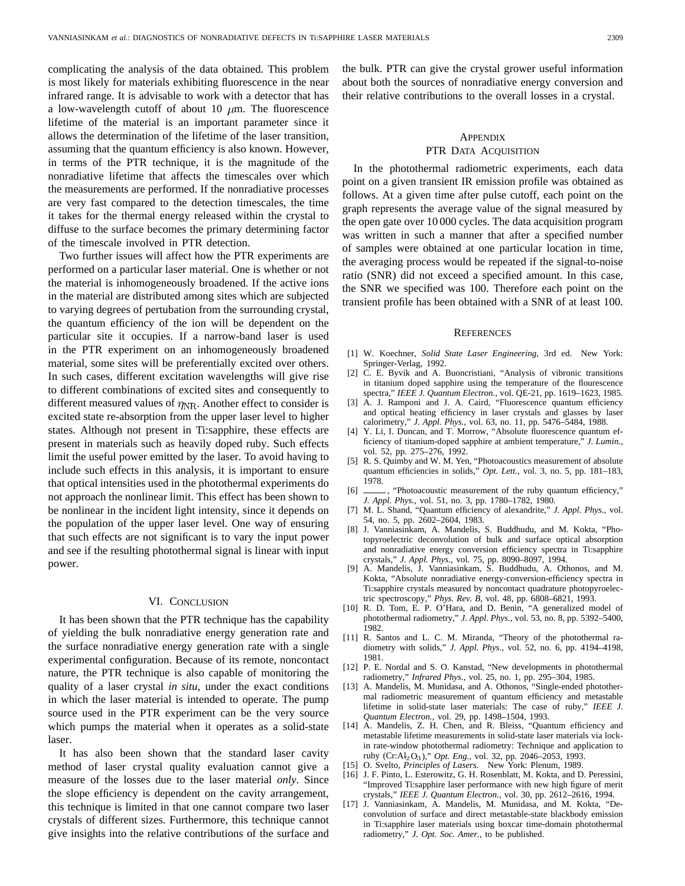complicating the analysis of the data obtained. This problem is most likely for materials exhibiting fluorescence in the near infrared range. It is advisable to work with a detector that has a low-wavelength cutoff of about 10  $\mu$ m. The fluorescence lifetime of the material is an important parameter since it allows the determination of the lifetime of the laser transition, assuming that the quantum efficiency is also known. However, in terms of the PTR technique, it is the magnitude of the nonradiative lifetime that affects the timescales over which the measurements are performed. If the nonradiative processes are very fast compared to the detection timescales, the time it takes for the thermal energy released within the crystal to diffuse to the surface becomes the primary determining factor of the timescale involved in PTR detection.

Two further issues will affect how the PTR experiments are performed on a particular laser material. One is whether or not the material is inhomogeneously broadened. If the active ions in the material are distributed among sites which are subjected to varying degrees of pertubation from the surrounding crystal, the quantum efficiency of the ion will be dependent on the particular site it occupies. If a narrow-band laser is used in the PTR experiment on an inhomogeneously broadened material, some sites will be preferentially excited over others. In such cases, different excitation wavelengths will give rise to different combinations of excited sites and consequently to different measured values of  $\eta_{\rm NR}$ . Another effect to consider is excited state re-absorption from the upper laser level to higher states. Although not present in Ti:sapphire, these effects are present in materials such as heavily doped ruby. Such effects limit the useful power emitted by the laser. To avoid having to include such effects in this analysis, it is important to ensure that optical intensities used in the photothermal experiments do not approach the nonlinear limit. This effect has been shown to be nonlinear in the incident light intensity, since it depends on the population of the upper laser level. One way of ensuring that such effects are not significant is to vary the input power and see if the resulting photothermal signal is linear with input power.

## VI. CONCLUSION

It has been shown that the PTR technique has the capability of yielding the bulk nonradiative energy generation rate and the surface nonradiative energy generation rate with a single experimental configuration. Because of its remote, noncontact nature, the PTR technique is also capable of monitoring the quality of a laser crystal *in situ*, under the exact conditions in which the laser material is intended to operate. The pump source used in the PTR experiment can be the very source which pumps the material when it operates as a solid-state laser.

It has also been shown that the standard laser cavity method of laser crystal quality evaluation cannot give a measure of the losses due to the laser material *only*. Since the slope efficiency is dependent on the cavity arrangement, this technique is limited in that one cannot compare two laser crystals of different sizes. Furthermore, this technique cannot give insights into the relative contributions of the surface and

the bulk. PTR can give the crystal grower useful information about both the sources of nonradiative energy conversion and their relative contributions to the overall losses in a crystal.

#### **APPENDIX**

## PTR DATA ACOUISITION

In the photothermal radiometric experiments, each data point on a given transient IR emission profile was obtained as follows. At a given time after pulse cutoff, each point on the graph represents the average value of the signal measured by the open gate over 10 000 cycles. The data acquisition program was written in such a manner that after a specified number of samples were obtained at one particular location in time, the averaging process would be repeated if the signal-to-noise ratio (SNR) did not exceed a specified amount. In this case, the SNR we specified was 100. Therefore each point on the transient profile has been obtained with a SNR of at least 100.

#### **REFERENCES**

- [1] W. Koechner, *Solid State Laser Engineering,* 3rd ed. New York: Springer-Verlag, 1992.
- [2] C. E. Byvik and A. Buoncristiani, "Analysis of vibronic transitions in titanium doped sapphire using the temperature of the flourescence spectra," *IEEE J. Quantum Electron.,* vol. QE-21, pp. 1619–1623, 1985.
- [3] A. J. Ramponi and J. A. Caird, "Fluorescence quantum efficiency and optical heating efficiency in laser crystals and glasses by laser calorimetry," *J. Appl. Phys.,* vol. 63, no. 11, pp. 5476–5484, 1988.
- [4] Y. Li, I. Duncan, and T. Morrow, "Absolute fluorescence quantum efficiency of titanium-doped sapphire at ambient temperature," *J. Lumin.,* vol. 52, pp. 275–276, 1992.
- [5] R. S. Quimby and W. M. Yen, "Photoacoustics measurement of absolute quantum efficiencies in solids," *Opt. Lett.,* vol. 3, no. 5, pp. 181–183, 1978.
- [6]  $\qquad \qquad$ , "Photoacoustic measurement of the ruby quantum efficiency," *J. Appl. Phys.,* vol. 51, no. 3, pp. 1780–1782, 1980.
- [7] M. L. Shand, "Quantum efficiency of alexandrite," *J. Appl. Phys.,* vol. 54, no. 5, pp. 2602–2604, 1983.
- [8] J. Vanniasinkam, A. Mandelis, S. Buddhudu, and M. Kokta, "Photopyroelectric deconvolution of bulk and surface optical absorption and nonradiative energy conversion efficiency spectra in Ti:sapphire crystals," *J. Appl. Phys.,* vol. 75, pp. 8090–8097, 1994.
- [9] A. Mandelis, J. Vanniasinkam, S. Buddhudu, A. Othonos, and M. Kokta, "Absolute nonradiative energy-conversion-efficiency spectra in Ti:sapphire crystals measured by noncontact quadrature photopyroelectric spectroscopy," *Phys. Rev. B,* vol. 48, pp. 6808–6821, 1993.
- [10] R. D. Tom, E. P. O'Hara, and D. Benin, "A generalized model of photothermal radiometry," *J. Appl. Phys.,* vol. 53, no. 8, pp. 5392–5400, 1982.
- [11] R. Santos and L. C. M. Miranda, "Theory of the photothermal radiometry with solids," *J. Appl. Phys.,* vol. 52, no. 6, pp. 4194–4198, 1981.
- [12] P. E. Nordal and S. O. Kanstad, "New developments in photothermal radiometry," *Infrared Phys.,* vol. 25, no. 1, pp. 295–304, 1985.
- [13] A. Mandelis, M. Munidasa, and A. Othonos, "Single-ended photothermal radiometric measurement of quantum efficiency and metastable lifetime in solid-state laser materials: The case of ruby," *IEEE J. Quantum Electron.,* vol. 29, pp. 1498–1504, 1993.
- [14] A. Mandelis, Z. H. Chen, and R. Bleiss, "Quantum efficiency and metastable lifetime measurements in solid-state laser materials via lockin rate-window photothermal radiometry: Technique and application to ruby (Cr:Al2O3)," *Opt. Eng.,* vol. 32, pp. 2046–2053, 1993.
- [15] O. Svelto, *Principles of Lasers.* New York: Plenum, 1989.
- [16] J. F. Pinto, L. Esterowitz, G. H. Rosenblatt, M. Kokta, and D. Peressini, "Improved Ti:sapphire laser performance with new high figure of merit crystals," *IEEE J. Quantum Electron.,* vol. 30, pp. 2612–2616, 1994.
- [17] J. Vanniasinkam, A. Mandelis, M. Munidasa, and M. Kokta, "Deconvolution of surface and direct metastable-state blackbody emission in Ti:sapphire laser materials using boxcar time-domain photothermal radiometry," *J. Opt. Soc. Amer.,* to be published.